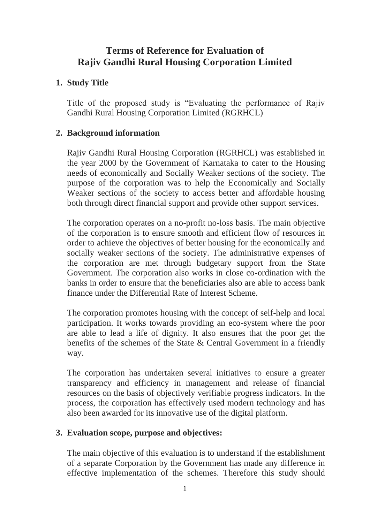# **Terms of Reference for Evaluation of Rajiv Gandhi Rural Housing Corporation Limited**

# **1. Study Title**

Title of the proposed study is "Evaluating the performance of Rajiv Gandhi Rural Housing Corporation Limited (RGRHCL)

## **2. Background information**

Rajiv Gandhi Rural Housing Corporation (RGRHCL) was established in the year 2000 by the Government of Karnataka to cater to the Housing needs of economically and Socially Weaker sections of the society. The purpose of the corporation was to help the Economically and Socially Weaker sections of the society to access better and affordable housing both through direct financial support and provide other support services.

The corporation operates on a no-profit no-loss basis. The main objective of the corporation is to ensure smooth and efficient flow of resources in order to achieve the objectives of better housing for the economically and socially weaker sections of the society. The administrative expenses of the corporation are met through budgetary support from the State Government. The corporation also works in close co-ordination with the banks in order to ensure that the beneficiaries also are able to access bank finance under the Differential Rate of Interest Scheme.

The corporation promotes housing with the concept of self-help and local participation. It works towards providing an eco-system where the poor are able to lead a life of dignity. It also ensures that the poor get the benefits of the schemes of the State & Central Government in a friendly way.

The corporation has undertaken several initiatives to ensure a greater transparency and efficiency in management and release of financial resources on the basis of objectively verifiable progress indicators. In the process, the corporation has effectively used modern technology and has also been awarded for its innovative use of the digital platform.

### **3. Evaluation scope, purpose and objectives:**

The main objective of this evaluation is to understand if the establishment of a separate Corporation by the Government has made any difference in effective implementation of the schemes. Therefore this study should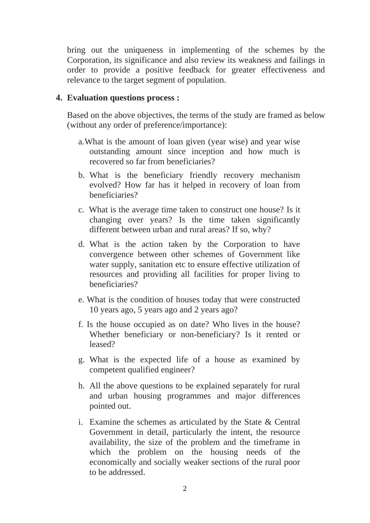bring out the uniqueness in implementing of the schemes by the Corporation, its significance and also review its weakness and failings in order to provide a positive feedback for greater effectiveness and relevance to the target segment of population.

#### **4. Evaluation questions process :**

Based on the above objectives, the terms of the study are framed as below (without any order of preference/importance):

- a.What is the amount of loan given (year wise) and year wise outstanding amount since inception and how much is recovered so far from beneficiaries?
- b. What is the beneficiary friendly recovery mechanism evolved? How far has it helped in recovery of loan from beneficiaries?
- c. What is the average time taken to construct one house? Is it changing over years? Is the time taken significantly different between urban and rural areas? If so, why?
- d. What is the action taken by the Corporation to have convergence between other schemes of Government like water supply, sanitation etc to ensure effective utilization of resources and providing all facilities for proper living to beneficiaries?
- e. What is the condition of houses today that were constructed 10 years ago, 5 years ago and 2 years ago?
- f. Is the house occupied as on date? Who lives in the house? Whether beneficiary or non-beneficiary? Is it rented or leased?
- g. What is the expected life of a house as examined by competent qualified engineer?
- h. All the above questions to be explained separately for rural and urban housing programmes and major differences pointed out.
- i. Examine the schemes as articulated by the State & Central Government in detail, particularly the intent, the resource availability, the size of the problem and the timeframe in which the problem on the housing needs of the economically and socially weaker sections of the rural poor to be addressed.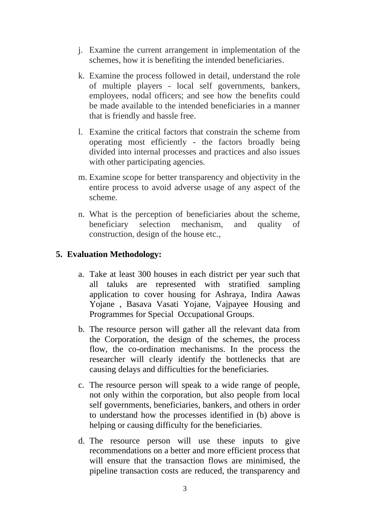- j. Examine the current arrangement in implementation of the schemes, how it is benefiting the intended beneficiaries.
- k. Examine the process followed in detail, understand the role of multiple players - local self governments, bankers, employees, nodal officers; and see how the benefits could be made available to the intended beneficiaries in a manner that is friendly and hassle free.
- l. Examine the critical factors that constrain the scheme from operating most efficiently - the factors broadly being divided into internal processes and practices and also issues with other participating agencies.
- m. Examine scope for better transparency and objectivity in the entire process to avoid adverse usage of any aspect of the scheme.
- n. What is the perception of beneficiaries about the scheme, beneficiary selection mechanism, and quality of construction, design of the house etc.,

### **5. Evaluation Methodology:**

- a. Take at least 300 houses in each district per year such that all taluks are represented with stratified sampling application to cover housing for Ashraya, Indira Aawas Yojane , Basava Vasati Yojane, Vajpayee Housing and Programmes for Special Occupational Groups.
- b. The resource person will gather all the relevant data from the Corporation, the design of the schemes, the process flow, the co-ordination mechanisms. In the process the researcher will clearly identify the bottlenecks that are causing delays and difficulties for the beneficiaries.
- c. The resource person will speak to a wide range of people, not only within the corporation, but also people from local self governments, beneficiaries, bankers, and others in order to understand how the processes identified in (b) above is helping or causing difficulty for the beneficiaries.
- d. The resource person will use these inputs to give recommendations on a better and more efficient process that will ensure that the transaction flows are minimised, the pipeline transaction costs are reduced, the transparency and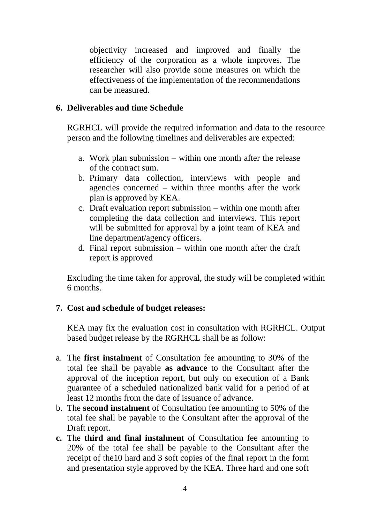objectivity increased and improved and finally the efficiency of the corporation as a whole improves. The researcher will also provide some measures on which the effectiveness of the implementation of the recommendations can be measured.

#### **6. Deliverables and time Schedule**

RGRHCL will provide the required information and data to the resource person and the following timelines and deliverables are expected:

- a. Work plan submission within one month after the release of the contract sum.
- b. Primary data collection, interviews with people and agencies concerned – within three months after the work plan is approved by KEA.
- c. Draft evaluation report submission within one month after completing the data collection and interviews. This report will be submitted for approval by a joint team of KEA and line department/agency officers.
- d. Final report submission within one month after the draft report is approved

Excluding the time taken for approval, the study will be completed within 6 months.

### **7. Cost and schedule of budget releases:**

KEA may fix the evaluation cost in consultation with RGRHCL. Output based budget release by the RGRHCL shall be as follow:

- a. The **first instalment** of Consultation fee amounting to 30% of the total fee shall be payable **as advance** to the Consultant after the approval of the inception report, but only on execution of a Bank guarantee of a scheduled nationalized bank valid for a period of at least 12 months from the date of issuance of advance.
- b. The **second instalment** of Consultation fee amounting to 50% of the total fee shall be payable to the Consultant after the approval of the Draft report.
- **c.** The **third and final instalment** of Consultation fee amounting to 20% of the total fee shall be payable to the Consultant after the receipt of the10 hard and 3 soft copies of the final report in the form and presentation style approved by the KEA. Three hard and one soft